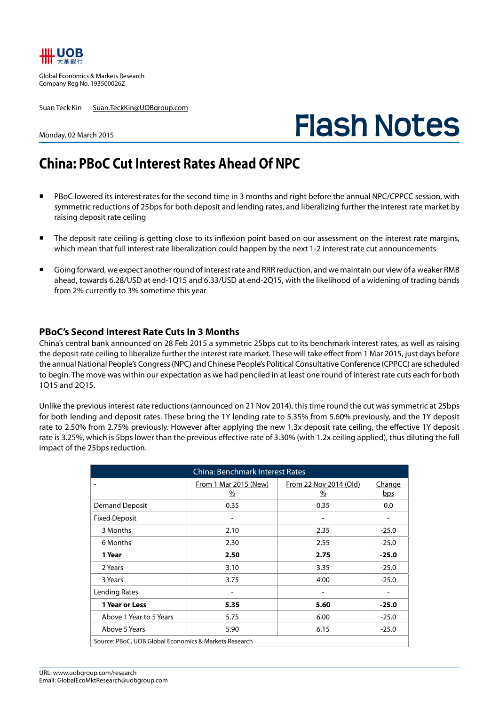

Global Economics & Markets Research Company Reg No. 193500026Z

Suan Teck Kin Suan.TeckKin@UOBgroup.com

# **Flash Notes**

#### Monday, 02 March 2015

# **China: PBoC Cut Interest Rates Ahead Of NPC**

- PBoC lowered its interest rates for the second time in 3 months and right before the annual NPC/CPPCC session, with symmetric reductions of 25bps for both deposit and lending rates, and liberalizing further the interest rate market by raising deposit rate ceiling
- The deposit rate ceiling is getting close to its inflexion point based on our assessment on the interest rate margins, which mean that full interest rate liberalization could happen by the next 1-2 interest rate cut announcements
- Going forward, we expect another round of interest rate and RRR reduction, and we maintain our view of a weaker RMB ahead, towards 6.28/USD at end-1Q15 and 6.33/USD at end-2Q15, with the likelihood of a widening of trading bands from 2% currently to 3% sometime this year

#### **PBoC's Second Interest Rate Cuts In 3 Months**

China's central bank announced on 28 Feb 2015 a symmetric 25bps cut to its benchmark interest rates, as well as raising the deposit rate ceiling to liberalize further the interest rate market. These will take effect from 1 Mar 2015, just days before the annual National People's Congress (NPC) and Chinese People's Political Consultative Conference (CPPCC) are scheduled to begin. The move was within our expectation as we had penciled in at least one round of interest rate cuts each for both 1Q15 and 2Q15.

Unlike the previous interest rate reductions (announced on 21 Nov 2014), this time round the cut was symmetric at 25bps for both lending and deposit rates. These bring the 1Y lending rate to 5.35% from 5.60% previously, and the 1Y deposit rate to 2.50% from 2.75% previously. However after applying the new 1.3x deposit rate ceiling, the effective 1Y deposit rate is 3.25%, which is 5bps lower than the previous effective rate of 3.30% (with 1.2x ceiling applied), thus diluting the full impact of the 25bps reduction.

| <b>China: Benchmark Interest Rates</b>                |                            |                                |                      |  |  |  |
|-------------------------------------------------------|----------------------------|--------------------------------|----------------------|--|--|--|
|                                                       | From 1 Mar 2015 (New)<br>% | From 22 Nov 2014 (Old)<br>$\%$ | <b>Change</b><br>bps |  |  |  |
| <b>Demand Deposit</b>                                 | 0.35                       | 0.35                           | 0.0                  |  |  |  |
| <b>Fixed Deposit</b>                                  |                            |                                | -                    |  |  |  |
| 3 Months                                              | 2.10                       | 2.35                           | $-25.0$              |  |  |  |
| 6 Months                                              | 2.30                       | 2.55                           | $-25.0$              |  |  |  |
| 1 Year                                                | 2.50                       | 2.75                           | $-25.0$              |  |  |  |
| 2 Years                                               | 3.10                       | 3.35                           | $-25.0$              |  |  |  |
| 3 Years                                               | 3.75                       | 4.00                           | $-25.0$              |  |  |  |
| Lending Rates                                         |                            |                                |                      |  |  |  |
| 1 Year or Less                                        | 5.35                       | 5.60                           | $-25.0$              |  |  |  |
| Above 1 Year to 5 Years                               | 5.75                       | 6.00                           | $-25.0$              |  |  |  |
| Above 5 Years                                         | 5.90                       | 6.15                           | $-25.0$              |  |  |  |
| Source: PBoC, UOB Global Economics & Markets Research |                            |                                |                      |  |  |  |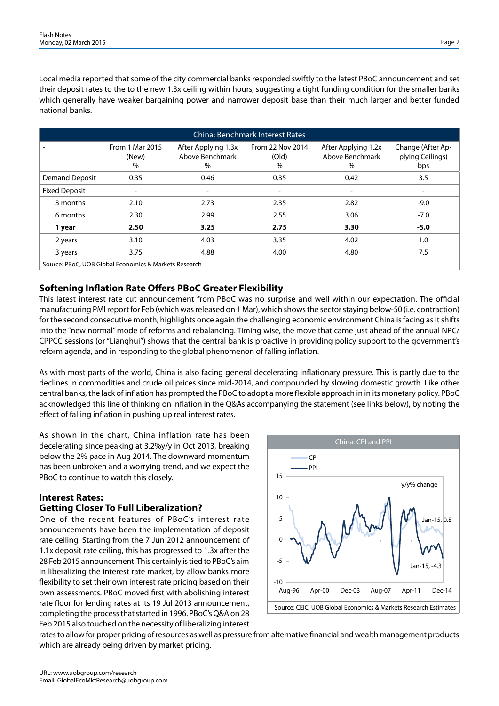Local media reported that some of the city commercial banks responded swiftly to the latest PBoC announcement and set their deposit rates to the to the new 1.3x ceiling within hours, suggesting a tight funding condition for the smaller banks which generally have weaker bargaining power and narrower deposit base than their much larger and better funded national banks.

| <b>China: Benchmark Interest Rates</b>                |                                           |                                                                 |                                                   |                                                         |                                              |  |  |
|-------------------------------------------------------|-------------------------------------------|-----------------------------------------------------------------|---------------------------------------------------|---------------------------------------------------------|----------------------------------------------|--|--|
|                                                       | From 1 Mar 2015<br>(New)<br>$\frac{9}{6}$ | After Applying 1.3x<br>Above Benchmark<br>$\frac{\%}{\sqrt{2}}$ | From 22 Nov 2014<br><u>(Old)</u><br>$\frac{0}{0}$ | After Applying 1.2x<br>Above Benchmark<br>$\frac{0}{0}$ | Change (After Ap-<br>plying Ceilings)<br>bps |  |  |
| <b>Demand Deposit</b>                                 | 0.35                                      | 0.46                                                            | 0.35                                              | 0.42                                                    | 3.5                                          |  |  |
| <b>Fixed Deposit</b>                                  | $\qquad \qquad \blacksquare$              | $\overline{\phantom{a}}$                                        | $\qquad \qquad \blacksquare$                      | $\overline{\phantom{a}}$                                | $\overline{\phantom{a}}$                     |  |  |
| 3 months                                              | 2.10                                      | 2.73                                                            | 2.35                                              | 2.82                                                    | $-9.0$                                       |  |  |
| 6 months                                              | 2.30                                      | 2.99                                                            | 2.55                                              | 3.06                                                    | $-7.0$                                       |  |  |
| 1 year                                                | 2.50                                      | 3.25                                                            | 2.75                                              | 3.30                                                    | $-5.0$                                       |  |  |
| 2 years                                               | 3.10                                      | 4.03                                                            | 3.35                                              | 4.02                                                    | 1.0                                          |  |  |
| 3 years                                               | 3.75                                      | 4.88                                                            | 4.00                                              | 4.80                                                    | 7.5                                          |  |  |
| Source: PBoC, UOB Global Economics & Markets Research |                                           |                                                                 |                                                   |                                                         |                                              |  |  |

# **Softening Inflation Rate Offers PBoC Greater Flexibility**

This latest interest rate cut announcement from PBoC was no surprise and well within our expectation. The official manufacturing PMI report for Feb (which was released on 1 Mar), which shows the sector staying below-50 (i.e. contraction) for the second consecutive month, highlights once again the challenging economic environment China is facing as it shifts into the "new normal" mode of reforms and rebalancing. Timing wise, the move that came just ahead of the annual NPC/ CPPCC sessions (or "Lianghui") shows that the central bank is proactive in providing policy support to the government's reform agenda, and in responding to the global phenomenon of falling inflation.

As with most parts of the world, China is also facing general decelerating inflationary pressure. This is partly due to the declines in commodities and crude oil prices since mid-2014, and compounded by slowing domestic growth. Like other central banks, the lack of inflation has prompted the PBoC to adopt a more flexible approach in in its monetary policy. PBoC acknowledged this line of thinking on inflation in the Q&As accompanying the statement (see links below), by noting the effect of falling inflation in pushing up real interest rates.

As shown in the chart, China inflation rate has been decelerating since peaking at 3.2%y/y in Oct 2013, breaking below the 2% pace in Aug 2014. The downward momentum has been unbroken and a worrying trend, and we expect the PBoC to continue to watch this closely.

### **Interest Rates: Getting Closer To Full Liberalization?**

One of the recent features of PBoC's interest rate announcements have been the implementation of deposit rate ceiling. Starting from the 7 Jun 2012 announcement of 1.1x deposit rate ceiling, this has progressed to 1.3x after the 28 Feb 2015 announcement. This certainly is tied to PBoC's aim in liberalizing the interest rate market, by allow banks more flexibility to set their own interest rate pricing based on their own assessments. PBoC moved first with abolishing interest rate floor for lending rates at its 19 Jul 2013 announcement, completing the process that started in 1996. PBoC's Q&A on 28 Feb 2015 also touched on the necessity of liberalizing interest



rates to allow for proper pricing of resources as well as pressure from alternative financial and wealth management products which are already being driven by market pricing.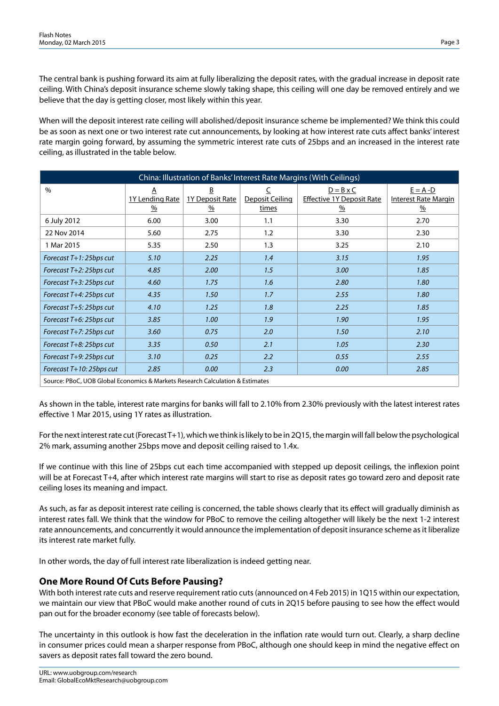The central bank is pushing forward its aim at fully liberalizing the deposit rates, with the gradual increase in deposit rate ceiling. With China's deposit insurance scheme slowly taking shape, this ceiling will one day be removed entirely and we believe that the day is getting closer, most likely within this year.

When will the deposit interest rate ceiling will abolished/deposit insurance scheme be implemented? We think this could be as soon as next one or two interest rate cut announcements, by looking at how interest rate cuts affect banks' interest rate margin going forward, by assuming the symmetric interest rate cuts of 25bps and an increased in the interest rate ceiling, as illustrated in the table below.

| China: Illustration of Banks' Interest Rate Margins (With Ceilings)           |                                              |                                       |                               |                                                                       |                                                             |  |
|-------------------------------------------------------------------------------|----------------------------------------------|---------------------------------------|-------------------------------|-----------------------------------------------------------------------|-------------------------------------------------------------|--|
| $\%$                                                                          | Α<br><b>1Y Lending Rate</b><br>$\frac{9}{6}$ | B<br>1Y Deposit Rate<br>$\frac{9}{6}$ | C<br>Deposit Ceiling<br>times | $D = B \times C$<br><b>Effective 1Y Deposit Rate</b><br>$\frac{9}{6}$ | $E = A - D$<br><b>Interest Rate Margin</b><br>$\frac{9}{6}$ |  |
| 6 July 2012                                                                   | 6.00                                         | 3.00                                  | 1.1                           | 3.30                                                                  | 2.70                                                        |  |
| 22 Nov 2014                                                                   | 5.60                                         | 2.75                                  | 1.2                           | 3.30                                                                  | 2.30                                                        |  |
| 1 Mar 2015                                                                    | 5.35                                         | 2.50                                  | 1.3                           | 3.25                                                                  | 2.10                                                        |  |
| Forecast T+1: 25bps cut                                                       | 5.10                                         | 2.25                                  | 1.4                           | 3.15                                                                  | 1.95                                                        |  |
| Forecast T+2: 25bps cut                                                       | 4.85                                         | 2.00                                  | 1.5                           | 3.00                                                                  | 1.85                                                        |  |
| Forecast T+3: 25bps cut                                                       | 4.60                                         | 1.75                                  | 1.6                           | 2.80                                                                  | 1.80                                                        |  |
| Forecast T+4: 25bps cut                                                       | 4.35                                         | 1.50                                  | 1.7                           | 2.55                                                                  | 1.80                                                        |  |
| Forecast T+5: 25bps cut                                                       | 4.10                                         | 1.25                                  | 1.8                           | 2.25                                                                  | 1.85                                                        |  |
| Forecast T+6: 25bps cut                                                       | 3.85                                         | 1.00                                  | 1.9                           | 1.90                                                                  | 1.95                                                        |  |
| Forecast T+7: 25bps cut                                                       | 3.60                                         | 0.75                                  | 2.0                           | 1.50                                                                  | 2.10                                                        |  |
| Forecast T+8: 25bps cut                                                       | 3.35                                         | 0.50                                  | 2.1                           | 1.05                                                                  | 2.30                                                        |  |
| Forecast T+9: 25bps cut                                                       | 3.10                                         | 0.25                                  | 2.2                           | 0.55                                                                  | 2.55                                                        |  |
| Forecast T+10: 25bps cut                                                      | 2.85                                         | 0.00                                  | 2.3                           | 0.00                                                                  | 2.85                                                        |  |
| Source: PBoC, UOB Global Economics & Markets Research Calculation & Estimates |                                              |                                       |                               |                                                                       |                                                             |  |

As shown in the table, interest rate margins for banks will fall to 2.10% from 2.30% previously with the latest interest rates effective 1 Mar 2015, using 1Y rates as illustration.

For the next interest rate cut (Forecast T+1), which we think is likely to be in 2Q15, the margin will fall below the psychological 2% mark, assuming another 25bps move and deposit ceiling raised to 1.4x.

If we continue with this line of 25bps cut each time accompanied with stepped up deposit ceilings, the inflexion point will be at Forecast T+4, after which interest rate margins will start to rise as deposit rates go toward zero and deposit rate ceiling loses its meaning and impact.

As such, as far as deposit interest rate ceiling is concerned, the table shows clearly that its effect will gradually diminish as interest rates fall. We think that the window for PBoC to remove the ceiling altogether will likely be the next 1-2 interest rate announcements, and concurrently it would announce the implementation of deposit insurance scheme as it liberalize its interest rate market fully.

In other words, the day of full interest rate liberalization is indeed getting near.

## **One More Round Of Cuts Before Pausing?**

With both interest rate cuts and reserve requirement ratio cuts (announced on 4 Feb 2015) in 1Q15 within our expectation, we maintain our view that PBoC would make another round of cuts in 2Q15 before pausing to see how the effect would pan out for the broader economy (see table of forecasts below).

The uncertainty in this outlook is how fast the deceleration in the inflation rate would turn out. Clearly, a sharp decline in consumer prices could mean a sharper response from PBoC, although one should keep in mind the negative effect on savers as deposit rates fall toward the zero bound.